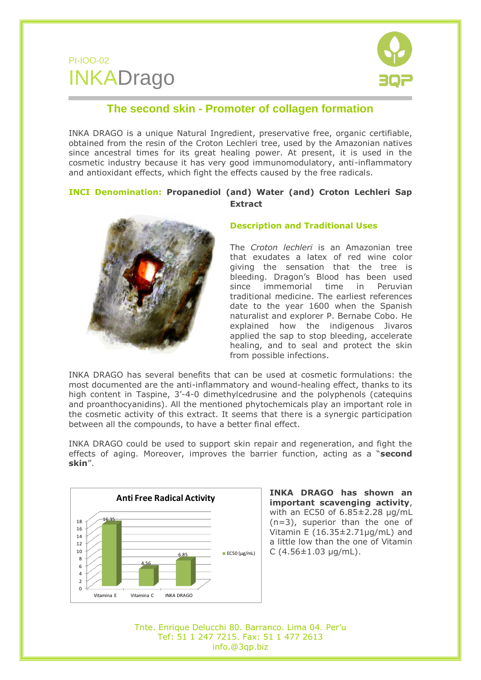## PI-IOO-02 INKADrago



## **The second skin - Promoter of collagen formation**

INKA DRAGO is a unique Natural Ingredient, preservative free, organic certifiable, obtained from the resin of the Croton Lechleri tree, used by the Amazonian natives since ancestral times for its great healing power. At present, it is used in the cosmetic industry because it has very good immunomodulatory, anti-inflammatory and antioxidant effects, which fight the effects caused by the free radicals.

## **INCI Denomination: Propanediol (and) Water (and) Croton Lechleri Sap Extract**



## **Description and Traditional Uses**

The *Croton lechleri* is an Amazonian tree that exudates a latex of red wine color giving the sensation that the tree is bleeding. Dragon's Blood has been used since immemorial time in Peruvian traditional medicine. The earliest references date to the year 1600 when the Spanish naturalist and explorer P. Bernabe Cobo. He explained how the indigenous Jivaros applied the sap to stop bleeding, accelerate healing, and to seal and protect the skin from possible infections.

INKA DRAGO has several benefits that can be used at cosmetic formulations: the most documented are the anti-inflammatory and wound-healing effect, thanks to its high content in Taspine, 3'-4-0 dimethylcedrusine and the polyphenols (catequins and proanthocyanidins). All the mentioned phytochemicals play an important role in the cosmetic activity of this extract. It seems that there is a synergic participation between all the compounds, to have a better final effect.

INKA DRAGO could be used to support skin repair and regeneration, and fight the effects of aging. Moreover, improves the barrier function, acting as a "**second skin**".



**INKA DRAGO has shown an important scavenging activity**, with an EC50 of 6.85±2.28 µg/mL (n=3), superior than the one of Vitamin E  $(16.35 \pm 2.71 \mu g/mL)$  and a little low than the one of Vitamin C  $(4.56 \pm 1.03 \,\mu g/mL)$ .

Tnte. Enrique Delucchi 80. Barranco. Lima 04. Per'u Tef: 51 1 247 7215. Fax: 51 1 477 2613 info.@3qp.biz